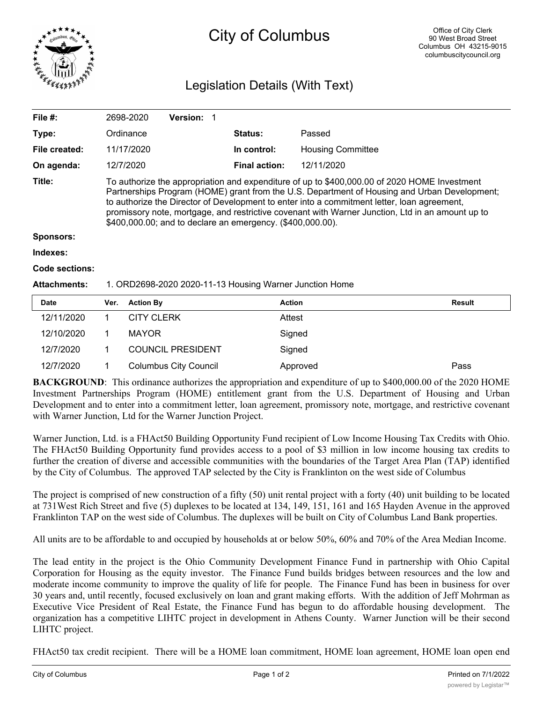

## City of Columbus

## Legislation Details (With Text)

| File #:             |                                                                                                                                                                                                                                                                                                                                                                                                                                                               | 2698-2020         | Version: 1               |  |                      |                          |               |
|---------------------|---------------------------------------------------------------------------------------------------------------------------------------------------------------------------------------------------------------------------------------------------------------------------------------------------------------------------------------------------------------------------------------------------------------------------------------------------------------|-------------------|--------------------------|--|----------------------|--------------------------|---------------|
| Type:               |                                                                                                                                                                                                                                                                                                                                                                                                                                                               | Ordinance         |                          |  | Status:              | Passed                   |               |
| File created:       |                                                                                                                                                                                                                                                                                                                                                                                                                                                               | 11/17/2020        |                          |  | In control:          | <b>Housing Committee</b> |               |
| On agenda:          |                                                                                                                                                                                                                                                                                                                                                                                                                                                               | 12/7/2020         |                          |  | <b>Final action:</b> | 12/11/2020               |               |
| Title:              | To authorize the appropriation and expenditure of up to \$400,000.00 of 2020 HOME Investment<br>Partnerships Program (HOME) grant from the U.S. Department of Housing and Urban Development;<br>to authorize the Director of Development to enter into a commitment letter, loan agreement,<br>promissory note, mortgage, and restrictive covenant with Warner Junction, Ltd in an amount up to<br>\$400,000.00; and to declare an emergency. (\$400,000.00). |                   |                          |  |                      |                          |               |
| <b>Sponsors:</b>    |                                                                                                                                                                                                                                                                                                                                                                                                                                                               |                   |                          |  |                      |                          |               |
| Indexes:            |                                                                                                                                                                                                                                                                                                                                                                                                                                                               |                   |                          |  |                      |                          |               |
| Code sections:      |                                                                                                                                                                                                                                                                                                                                                                                                                                                               |                   |                          |  |                      |                          |               |
| <b>Attachments:</b> | 1. ORD2698-2020 2020-11-13 Housing Warner Junction Home                                                                                                                                                                                                                                                                                                                                                                                                       |                   |                          |  |                      |                          |               |
| <b>Date</b>         | Ver.                                                                                                                                                                                                                                                                                                                                                                                                                                                          | <b>Action By</b>  |                          |  | <b>Action</b>        |                          | <b>Result</b> |
| 12/11/2020          | 1                                                                                                                                                                                                                                                                                                                                                                                                                                                             | <b>CITY CLERK</b> |                          |  | Attest               |                          |               |
| 12/10/2020          | 1                                                                                                                                                                                                                                                                                                                                                                                                                                                             | <b>MAYOR</b>      |                          |  |                      | Signed                   |               |
| 12/7/2020           | 1                                                                                                                                                                                                                                                                                                                                                                                                                                                             |                   | <b>COUNCIL PRESIDENT</b> |  |                      | Signed                   |               |

**BACKGROUND**: This ordinance authorizes the appropriation and expenditure of up to \$400,000.00 of the 2020 HOME Investment Partnerships Program (HOME) entitlement grant from the U.S. Department of Housing and Urban Development and to enter into a commitment letter, loan agreement, promissory note, mortgage, and restrictive covenant with Warner Junction, Ltd for the Warner Junction Project.

12/7/2020 1 Columbus City Council Approved Pass

Warner Junction, Ltd. is a FHAct50 Building Opportunity Fund recipient of Low Income Housing Tax Credits with Ohio. The FHAct50 Building Opportunity fund provides access to a pool of \$3 million in low income housing tax credits to further the creation of diverse and accessible communities with the boundaries of the Target Area Plan (TAP) identified by the City of Columbus. The approved TAP selected by the City is Franklinton on the west side of Columbus

The project is comprised of new construction of a fifty (50) unit rental project with a forty (40) unit building to be located at 731West Rich Street and five (5) duplexes to be located at 134, 149, 151, 161 and 165 Hayden Avenue in the approved Franklinton TAP on the west side of Columbus. The duplexes will be built on City of Columbus Land Bank properties.

All units are to be affordable to and occupied by households at or below 50%, 60% and 70% of the Area Median Income.

The lead entity in the project is the Ohio Community Development Finance Fund in partnership with Ohio Capital Corporation for Housing as the equity investor. The Finance Fund builds bridges between resources and the low and moderate income community to improve the quality of life for people. The Finance Fund has been in business for over 30 years and, until recently, focused exclusively on loan and grant making efforts. With the addition of Jeff Mohrman as Executive Vice President of Real Estate, the Finance Fund has begun to do affordable housing development. The organization has a competitive LIHTC project in development in Athens County. Warner Junction will be their second LIHTC project.

FHAct50 tax credit recipient. There will be a HOME loan commitment, HOME loan agreement, HOME loan open end